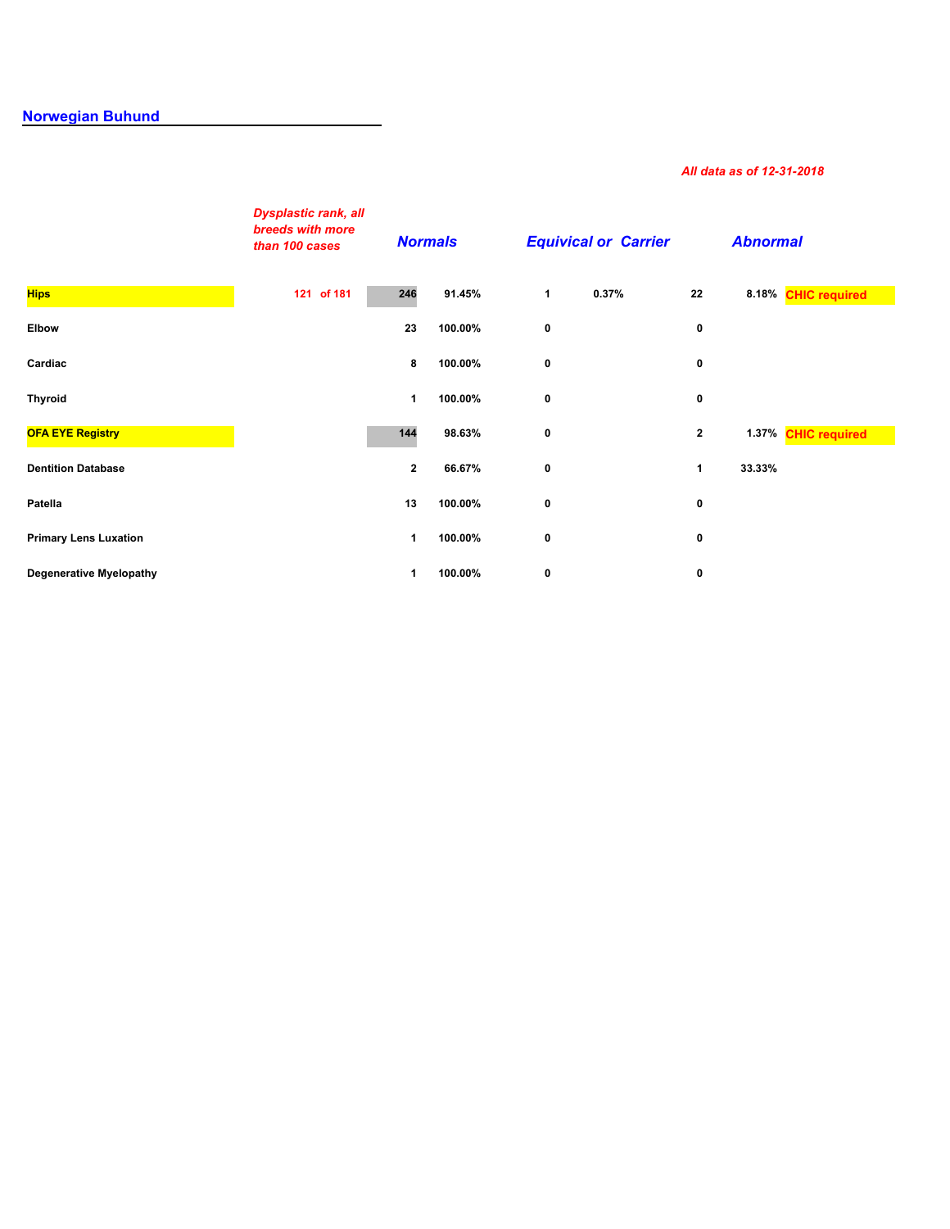## **[Norwegian Buhund](http://secure.ofa.org/regsums/NB31-dec-2018SUM.pdf)**

## *All data as of 12-31-2018*

|                                | <b>Dysplastic rank, all</b><br>breeds with more<br>than 100 cases | <b>Normals</b> |         |   | <b>Equivical or Carrier</b> |              | <b>Abnormal</b> |                     |
|--------------------------------|-------------------------------------------------------------------|----------------|---------|---|-----------------------------|--------------|-----------------|---------------------|
| <b>Hips</b>                    | 121 of 181                                                        | 246            | 91.45%  | 1 | 0.37%                       | 22           |                 | 8.18% CHIC required |
| <b>Elbow</b>                   |                                                                   | 23             | 100.00% | 0 |                             | 0            |                 |                     |
| Cardiac                        |                                                                   | 8              | 100.00% | 0 |                             | 0            |                 |                     |
| <b>Thyroid</b>                 |                                                                   | 1              | 100.00% | 0 |                             | 0            |                 |                     |
| <b>OFA EYE Registry</b>        |                                                                   | 144            | 98.63%  | 0 |                             | $\mathbf{2}$ |                 | 1.37% CHIC required |
| <b>Dentition Database</b>      |                                                                   | $\mathbf{2}$   | 66.67%  | 0 |                             | $\mathbf{1}$ | 33.33%          |                     |
| Patella                        |                                                                   | 13             | 100.00% | 0 |                             | 0            |                 |                     |
| <b>Primary Lens Luxation</b>   |                                                                   | 1              | 100.00% | 0 |                             | 0            |                 |                     |
| <b>Degenerative Myelopathy</b> |                                                                   | 1              | 100.00% | 0 |                             | 0            |                 |                     |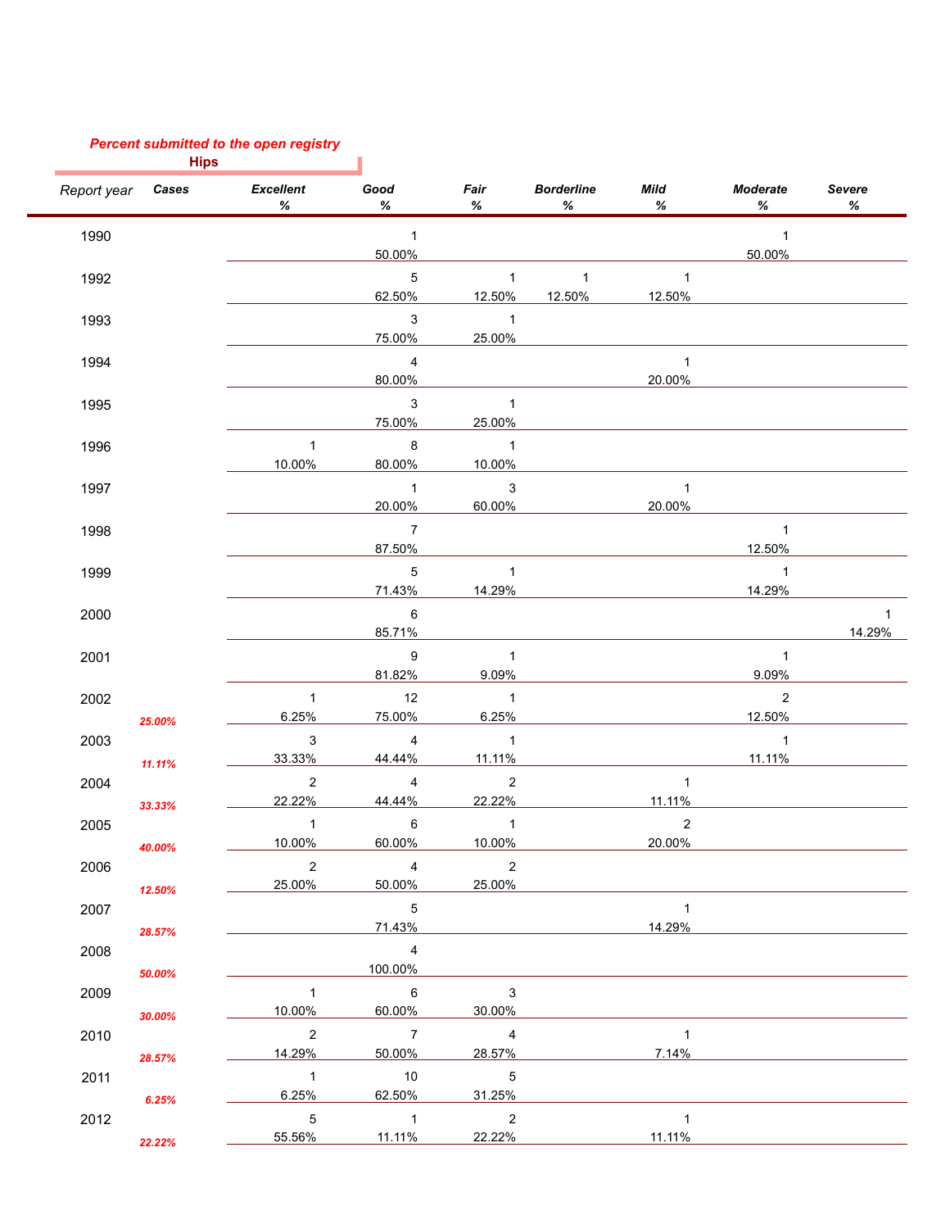## *Percent submitted to the open registry*

**Hips**

|             | <b>Hips</b> |                            |                 |                            |                           |                |                      |             |
|-------------|-------------|----------------------------|-----------------|----------------------------|---------------------------|----------------|----------------------|-------------|
| Report year | Cases       | <b>Excellent</b><br>℅      | Good<br>$\%$    | Fair<br>℅                  | <b>Borderline</b><br>$\%$ | Mild<br>℅      | <b>Moderate</b><br>℅ | Severe<br>℅ |
| 1990        |             |                            | $\overline{1}$  |                            |                           |                | $\mathbf{1}$         |             |
|             |             |                            | 50.00%          |                            |                           |                | 50.00%               |             |
| 1992        |             |                            | 5               | $\mathbf{1}$               | $\mathbf{1}$              | $\mathbf{1}$   |                      |             |
|             |             |                            | 62.50%          | 12.50%                     | 12.50%                    | 12.50%         |                      |             |
| 1993        |             |                            | $\mathbf{3}$    | $\mathbf{1}$               |                           |                |                      |             |
|             |             |                            | 75.00%          | 25.00%                     |                           |                |                      |             |
| 1994        |             |                            | $\overline{4}$  |                            |                           | $\mathbf{1}$   |                      |             |
|             |             |                            | 80.00%          |                            |                           | 20.00%         |                      |             |
| 1995        |             |                            | $\mathbf{3}$    | $\mathbf{1}$               |                           |                |                      |             |
|             |             |                            | 75.00%          | 25.00%                     |                           |                |                      |             |
| 1996        |             | $\mathbf{1}$               | 8               | $\mathbf{1}$               |                           |                |                      |             |
|             |             | 10.00%                     | 80.00%          | 10.00%                     |                           |                |                      |             |
| 1997        |             |                            | $\overline{1}$  | $\mathbf{3}$               |                           | $\mathbf{1}$   |                      |             |
|             |             |                            | 20.00%          | 60.00%                     |                           | 20.00%         |                      |             |
| 1998        |             |                            | $\overline{7}$  |                            |                           |                | $\mathbf{1}$         |             |
|             |             |                            | 87.50%          |                            |                           |                | 12.50%               |             |
| 1999        |             |                            | $\,$ 5 $\,$     | $\mathbf{1}$               |                           |                | $\mathbf{1}$         |             |
|             |             |                            | 71.43%          | 14.29%                     |                           |                | 14.29%               |             |
| 2000        |             |                            | 6               |                            |                           |                |                      | 1           |
|             |             |                            | 85.71%          |                            |                           |                |                      | 14.29%      |
| 2001        |             |                            | 9               | $\mathbf{1}$               |                           |                | $\mathbf{1}$         |             |
|             |             |                            | 81.82%          | 9.09%                      |                           |                | 9.09%                |             |
| 2002        |             | $\mathbf{1}$               | 12              | $\overline{1}$             |                           |                | $\overline{2}$       |             |
|             | 25.00%      | 6.25%                      | 75.00%          | 6.25%                      |                           |                | 12.50%               |             |
| 2003        |             | $\ensuremath{\mathsf{3}}$  | $\overline{4}$  | $\mathbf{1}$               |                           |                | $\mathbf{1}$         |             |
|             | 11.11%      | 33.33%                     | 44.44%          | 11.11%                     |                           |                | 11.11%               |             |
| 2004        |             | $\overline{2}$             | $\overline{4}$  | $\sqrt{2}$                 |                           | $\mathbf{1}$   |                      |             |
|             | 33.33%      | 22.22%                     | 44.44%          | 22.22%                     |                           | 11.11%         |                      |             |
| 2005        |             | $\mathbf{1}$               | 6               | $\mathbf{1}$               |                           | $\overline{2}$ |                      |             |
|             | 40.00%      | 10.00%                     | 60.00%          | 10.00%                     |                           | 20.00%         |                      |             |
| 2006        |             | $\overline{2}$             | $\overline{4}$  | $\overline{2}$             |                           |                |                      |             |
|             | 12.50%      | 25.00%                     | 50.00%          | 25.00%                     |                           |                |                      |             |
| 2007        |             |                            | 5               |                            |                           | $\mathbf{1}$   |                      |             |
|             | 28.57%      |                            | 71.43%          |                            |                           | 14.29%         |                      |             |
| 2008        |             |                            | $\overline{4}$  |                            |                           |                |                      |             |
|             | 50.00%      |                            | 100.00%         |                            |                           |                |                      |             |
| 2009        |             | $\mathbf{1}$               | $\overline{6}$  | 3                          |                           |                |                      |             |
|             | 30.00%      | 10.00%                     | 60.00%          | 30.00%                     |                           |                |                      |             |
| 2010        |             | 2                          | $\overline{7}$  | $\overline{4}$             |                           | $\mathbf{1}$   |                      |             |
|             | 28.57%      | 14.29%                     | 50.00%          | 28.57%                     |                           | 7.14%          |                      |             |
| 2011        |             | $\overline{\phantom{1}}$ 1 | $\overline{10}$ | $\overline{\phantom{0}}$ 5 |                           |                |                      |             |
|             |             | 6.25%                      | 62.50%          | 31.25%                     |                           |                |                      |             |
| 2012        | 6.25%       | $\sqrt{5}$                 | $\overline{1}$  | $\overline{\phantom{a}}$   |                           | $\mathbf{1}$   |                      |             |
|             |             | 55.56%                     | 11.11%          | 22.22%                     |                           | 11.11%         |                      |             |
|             | 22.22%      |                            |                 |                            |                           |                |                      |             |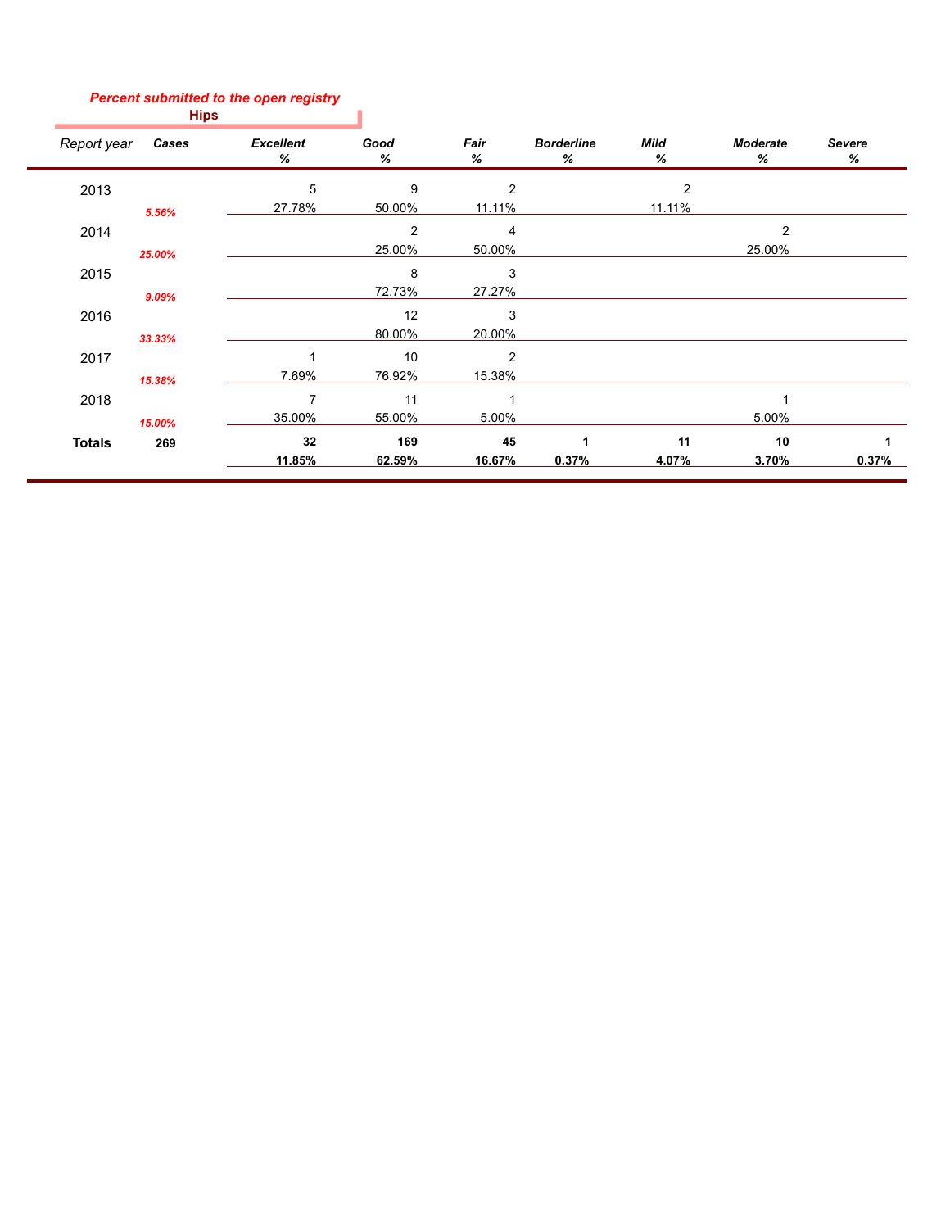## *Percent submitted to the open registry*

| − |
|---|
|---|

 $\overline{\phantom{a}}$ 

| Report year   | Cases  | <b>Excellent</b><br>℅ | Good<br>%      | Fair<br>℅ | <b>Borderline</b><br>% | Mild<br>℅ | <b>Moderate</b><br>% | <b>Severe</b><br>℅ |
|---------------|--------|-----------------------|----------------|-----------|------------------------|-----------|----------------------|--------------------|
| 2013          |        | 5                     | 9              | 2         |                        | 2         |                      |                    |
|               | 5.56%  | 27.78%                | 50.00%         | 11.11%    |                        | 11.11%    |                      |                    |
| 2014          |        |                       | $\overline{2}$ | 4         |                        |           | $\overline{2}$       |                    |
|               | 25.00% |                       | 25.00%         | 50.00%    |                        |           | 25.00%               |                    |
| 2015          |        |                       | 8              | 3         |                        |           |                      |                    |
|               | 9.09%  |                       | 72.73%         | 27.27%    |                        |           |                      |                    |
| 2016          |        |                       | 12             | 3         |                        |           |                      |                    |
|               | 33.33% |                       | 80.00%         | 20.00%    |                        |           |                      |                    |
| 2017          |        |                       | 10             | 2         |                        |           |                      |                    |
|               | 15.38% | 7.69%                 | 76.92%         | 15.38%    |                        |           |                      |                    |
| 2018          |        | $\overline{7}$        | 11             |           |                        |           |                      |                    |
|               | 15.00% | 35.00%                | 55.00%         | 5.00%     |                        |           | 5.00%                |                    |
| <b>Totals</b> | 269    | 32                    | 169            | 45        | 1                      | 11        | 10                   |                    |
|               |        | 11.85%                | 62.59%         | 16.67%    | 0.37%                  | 4.07%     | 3.70%                | 0.37%              |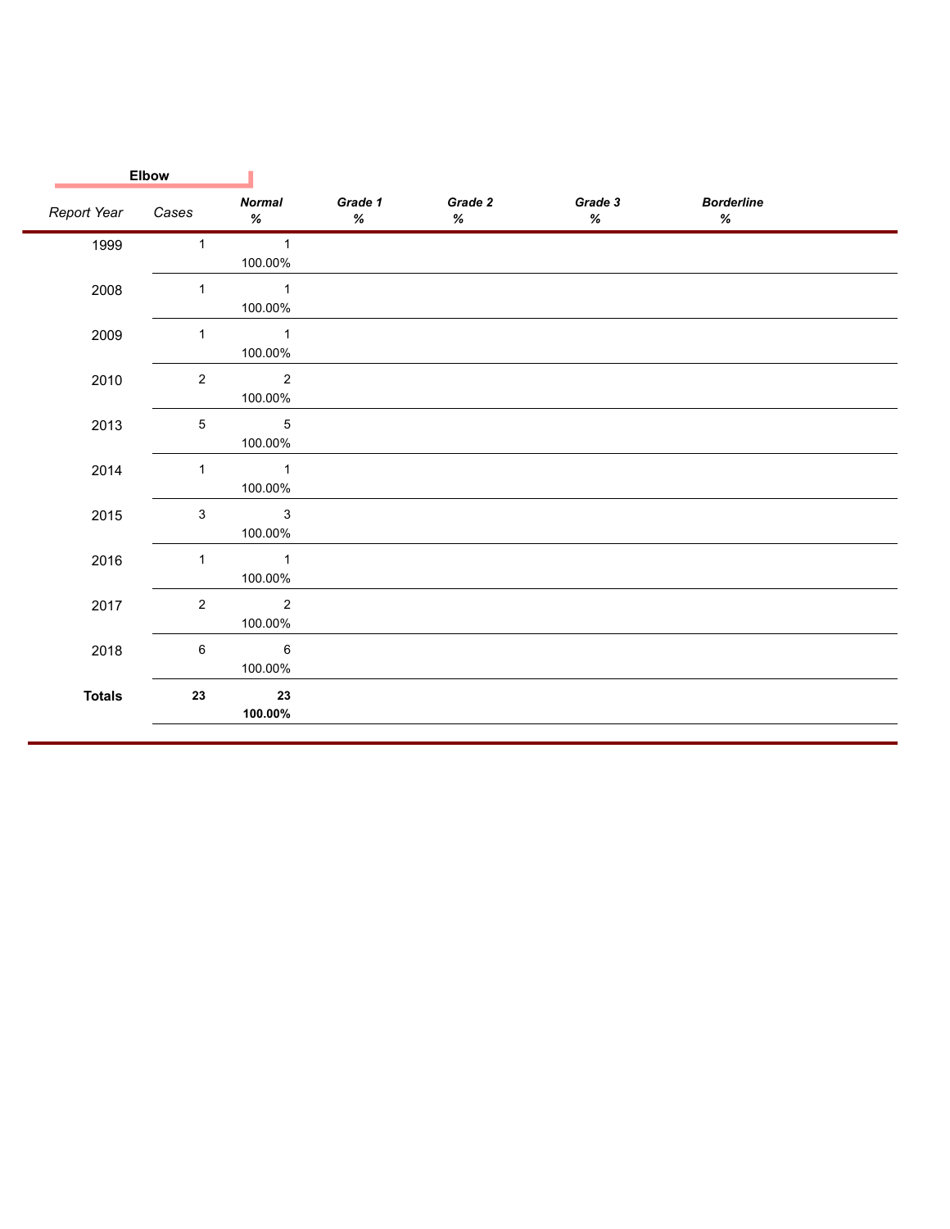|               | <b>Elbow</b> |                           |                 |                 |                 |                           |  |
|---------------|--------------|---------------------------|-----------------|-----------------|-----------------|---------------------------|--|
| Report Year   | Cases        | <b>Normal</b><br>$\%$     | Grade 1<br>$\%$ | Grade 2<br>$\%$ | Grade 3<br>$\%$ | <b>Borderline</b><br>$\%$ |  |
| 1999          | $\mathbf{1}$ | $\mathbf{1}$<br>100.00%   |                 |                 |                 |                           |  |
| 2008          | $\mathbf{1}$ | $\mathbf{1}$<br>100.00%   |                 |                 |                 |                           |  |
| 2009          | $\mathbf{1}$ | $\mathbf{1}$<br>100.00%   |                 |                 |                 |                           |  |
| 2010          | $\sqrt{2}$   | $\sqrt{2}$<br>100.00%     |                 |                 |                 |                           |  |
| 2013          | 5            | $\mathbf 5$<br>100.00%    |                 |                 |                 |                           |  |
| 2014          | $\mathbf{1}$ | $\mathbf{1}$<br>100.00%   |                 |                 |                 |                           |  |
| 2015          | 3            | $\mathbf{3}$<br>100.00%   |                 |                 |                 |                           |  |
| 2016          | $\mathbf{1}$ | $\mathbf{1}$<br>100.00%   |                 |                 |                 |                           |  |
| 2017          | $\sqrt{2}$   | $\overline{2}$<br>100.00% |                 |                 |                 |                           |  |
| 2018          | 6            | $\,6\,$<br>100.00%        |                 |                 |                 |                           |  |
| <b>Totals</b> | 23           | 23<br>100.00%             |                 |                 |                 |                           |  |
|               |              |                           |                 |                 |                 |                           |  |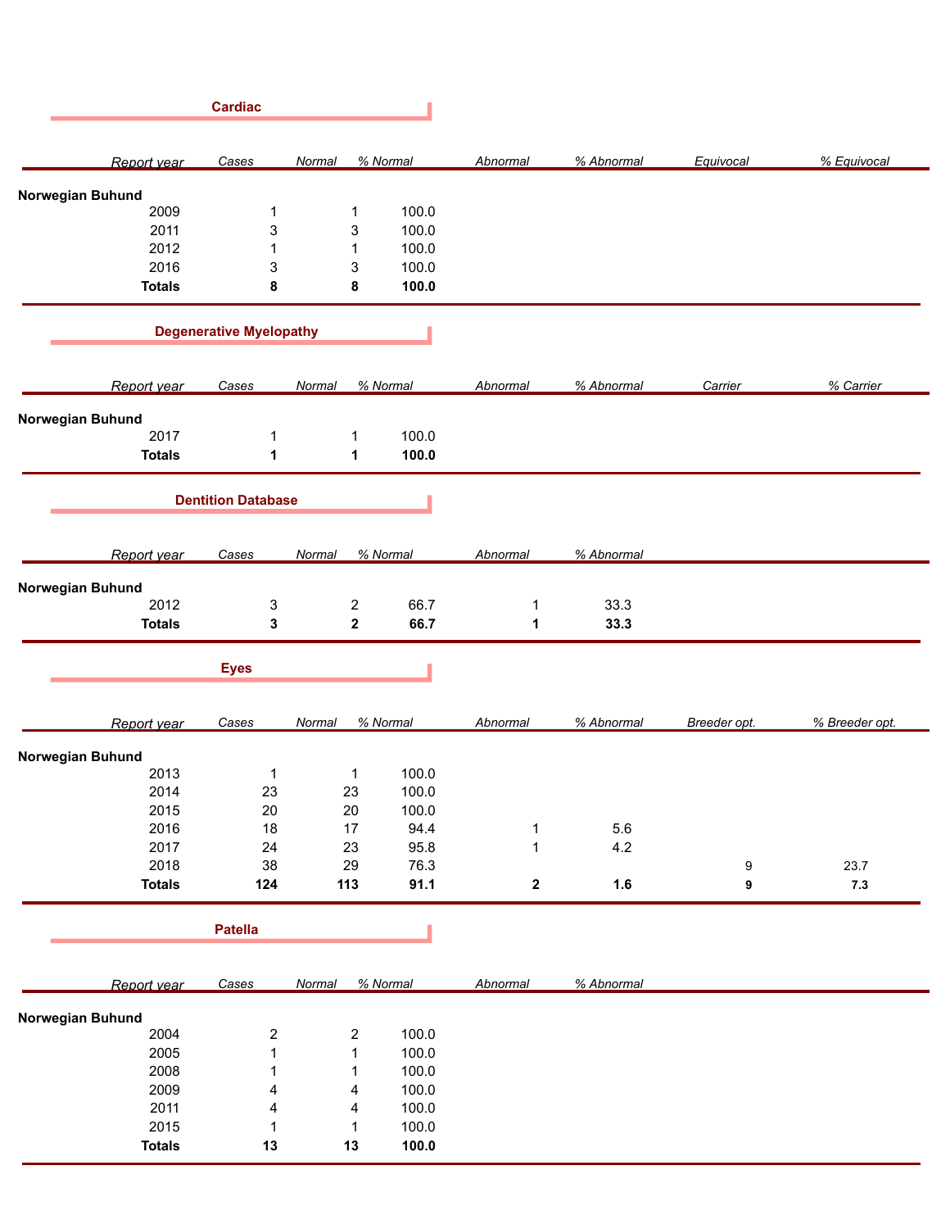|                          | <b>Cardiac</b>                 |                         |                |                  |            |              |                |
|--------------------------|--------------------------------|-------------------------|----------------|------------------|------------|--------------|----------------|
| Report year              | Cases                          | Normal                  | % Normal       | Abnormal         | % Abnormal | Equivocal    | % Equivocal    |
| Norwegian Buhund         |                                |                         |                |                  |            |              |                |
| 2009                     | 1                              | 1                       | 100.0          |                  |            |              |                |
| 2011                     | 3                              | 3                       | 100.0          |                  |            |              |                |
| 2012                     | 1                              | $\mathbf{1}$            | 100.0          |                  |            |              |                |
| 2016                     | 3                              | 3                       | 100.0          |                  |            |              |                |
| <b>Totals</b>            | 8                              | 8                       | 100.0          |                  |            |              |                |
|                          | <b>Degenerative Myelopathy</b> |                         |                |                  |            |              |                |
|                          |                                |                         |                |                  |            |              |                |
| Report year              | Cases                          | Normal                  | % Normal       | Abnormal         | % Abnormal | Carrier      | % Carrier      |
| Norwegian Buhund         |                                |                         |                |                  |            |              |                |
| 2017                     | 1                              | 1                       | 100.0          |                  |            |              |                |
| <b>Totals</b>            | 1                              | 1                       | 100.0          |                  |            |              |                |
|                          | <b>Dentition Database</b>      |                         |                |                  |            |              |                |
| Report year              | Cases                          | Normal                  | % Normal       | Abnormal         | % Abnormal |              |                |
|                          |                                |                         |                |                  |            |              |                |
| Norwegian Buhund         |                                |                         |                |                  |            |              |                |
| 2012                     | 3                              | $\boldsymbol{2}$        | 66.7           | 1                | 33.3       |              |                |
| <b>Totals</b>            | 3                              | $\overline{\mathbf{2}}$ | 66.7           | 1                | 33.3       |              |                |
|                          | <b>Eyes</b>                    |                         |                |                  |            |              |                |
| Report year              | Cases                          | Normal                  | % Normal       | Abnormal         | % Abnormal | Breeder opt. | % Breeder opt. |
| Norwegian Buhund         |                                |                         |                |                  |            |              |                |
| 2013                     | 1                              | $\mathbf{1}$            | 100.0          |                  |            |              |                |
| 2014                     | 23                             | 23                      | 100.0          |                  |            |              |                |
| 2015                     | 20                             | 20                      | 100.0          |                  |            |              |                |
|                          |                                |                         |                |                  |            |              |                |
| 2016                     | $18$                           | 17                      | 94.4           | $\mathbf 1$      | 5.6        |              |                |
| 2017                     | 24                             | 23                      | 95.8           | $\mathbf{1}$     | 4.2        |              |                |
| 2018                     | 38                             | 29                      | 76.3           |                  |            | 9            | 23.7           |
| <b>Totals</b>            | 124                            | 113                     | 91.1           | $\boldsymbol{2}$ | 1.6        | 9            | $7.3$          |
|                          | <b>Patella</b>                 |                         |                |                  |            |              |                |
| Report year              | Cases                          | Normal                  | % Normal       | Abnormal         | % Abnormal |              |                |
|                          |                                |                         |                |                  |            |              |                |
| Norwegian Buhund<br>2004 | $\overline{\mathbf{c}}$        | $\overline{2}$          | 100.0          |                  |            |              |                |
| 2005                     | $\mathbf{1}$                   | $\mathbf{1}$            | 100.0          |                  |            |              |                |
| 2008                     | 1                              | $\mathbf{1}$            | 100.0          |                  |            |              |                |
|                          | 4                              | 4                       | 100.0          |                  |            |              |                |
|                          |                                |                         |                |                  |            |              |                |
| 2009                     |                                |                         |                |                  |            |              |                |
| 2011                     | 4                              | $\overline{4}$          | 100.0          |                  |            |              |                |
| 2015<br><b>Totals</b>    | $\mathbf{1}$<br>13             | $\mathbf 1$<br>13       | 100.0<br>100.0 |                  |            |              |                |